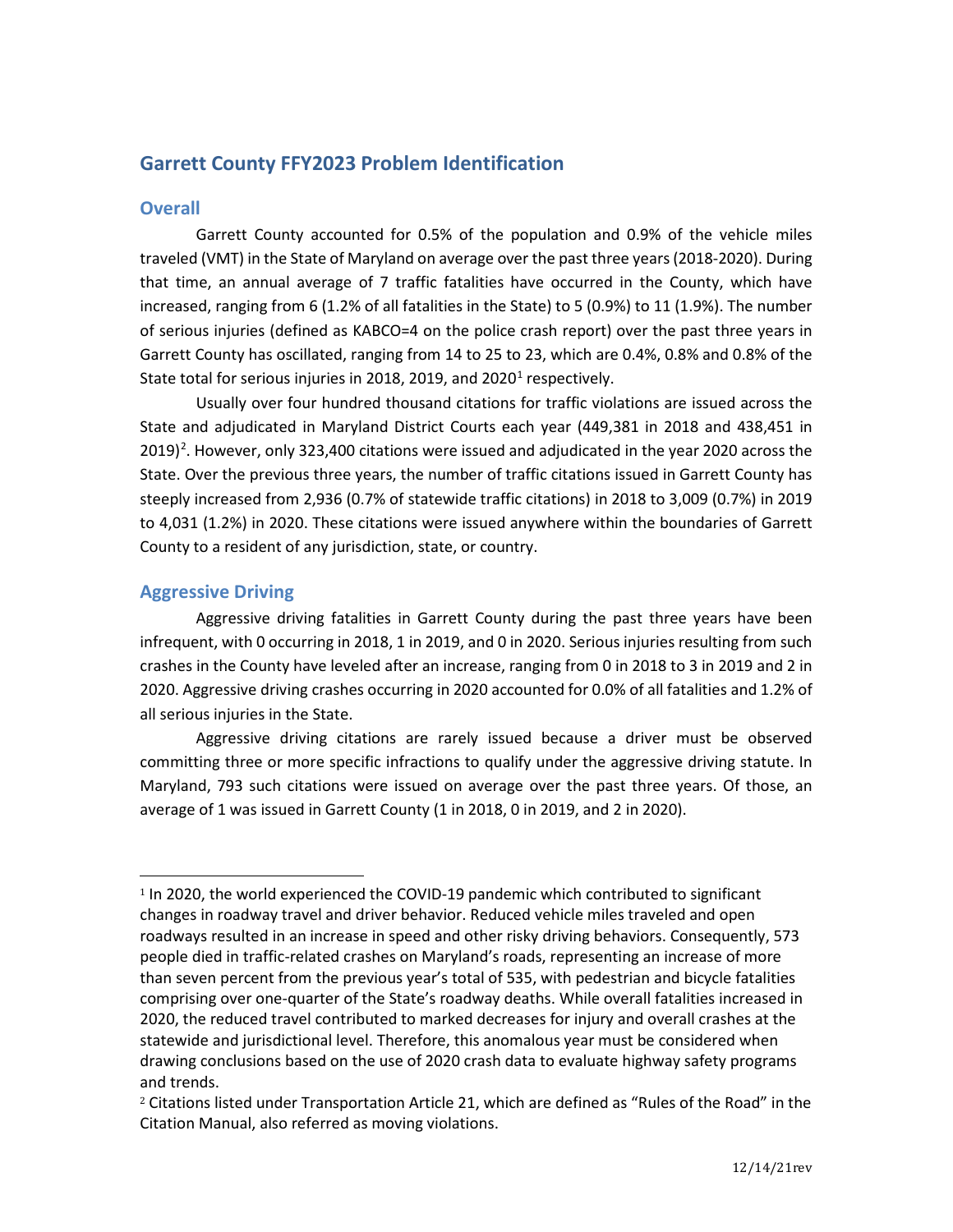# **Garrett County FFY2023 Problem Identification**

## **Overall**

Garrett County accounted for 0.5% of the population and 0.9% of the vehicle miles traveled (VMT) in the State of Maryland on average over the past three years (2018-2020). During that time, an annual average of 7 traffic fatalities have occurred in the County, which have increased, ranging from 6 (1.2% of all fatalities in the State) to 5 (0.9%) to 11 (1.9%). The number of serious injuries (defined as KABCO=4 on the police crash report) over the past three years in Garrett County has oscillated, ranging from 14 to 25 to 23, which are 0.4%, 0.8% and 0.8% of the State total for serious injuries in 20[1](#page-0-0)8, 2019, and 2020<sup>1</sup> respectively.

Usually over four hundred thousand citations for traffic violations are issued across the State and adjudicated in Maryland District Courts each year (449,381 in 2018 and 438,451 in [2](#page-0-1)019)<sup>2</sup>. However, only 323,400 citations were issued and adjudicated in the year 2020 across the State. Over the previous three years, the number of traffic citations issued in Garrett County has steeply increased from 2,936 (0.7% of statewide traffic citations) in 2018 to 3,009 (0.7%) in 2019 to 4,031 (1.2%) in 2020. These citations were issued anywhere within the boundaries of Garrett County to a resident of any jurisdiction, state, or country.

## **Aggressive Driving**

Aggressive driving fatalities in Garrett County during the past three years have been infrequent, with 0 occurring in 2018, 1 in 2019, and 0 in 2020. Serious injuries resulting from such crashes in the County have leveled after an increase, ranging from 0 in 2018 to 3 in 2019 and 2 in 2020. Aggressive driving crashes occurring in 2020 accounted for 0.0% of all fatalities and 1.2% of all serious injuries in the State.

Aggressive driving citations are rarely issued because a driver must be observed committing three or more specific infractions to qualify under the aggressive driving statute. In Maryland, 793 such citations were issued on average over the past three years. Of those, an average of 1 was issued in Garrett County (1 in 2018, 0 in 2019, and 2 in 2020).

<span id="page-0-0"></span><sup>1</sup> In 2020, the world experienced the COVID-19 pandemic which contributed to significant changes in roadway travel and driver behavior. Reduced vehicle miles traveled and open roadways resulted in an increase in speed and other risky driving behaviors. Consequently, 573 people died in traffic-related crashes on Maryland's roads, representing an increase of more than seven percent from the previous year's total of 535, with pedestrian and bicycle fatalities comprising over one-quarter of the State's roadway deaths. While overall fatalities increased in 2020, the reduced travel contributed to marked decreases for injury and overall crashes at the statewide and jurisdictional level. Therefore, this anomalous year must be considered when drawing conclusions based on the use of 2020 crash data to evaluate highway safety programs and trends.

<span id="page-0-1"></span><sup>&</sup>lt;sup>2</sup> Citations listed under Transportation Article 21, which are defined as "Rules of the Road" in the Citation Manual, also referred as moving violations.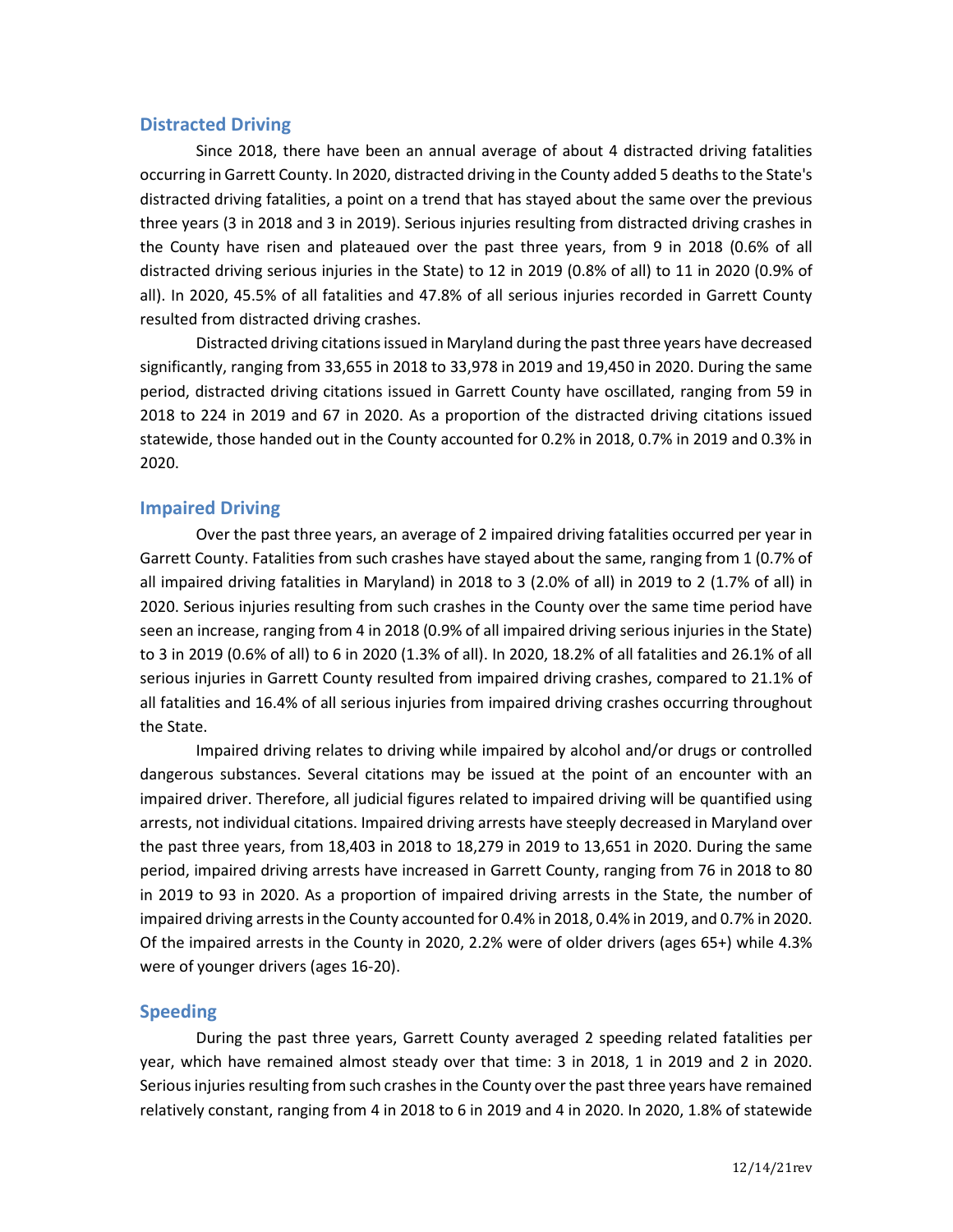### **Distracted Driving**

Since 2018, there have been an annual average of about 4 distracted driving fatalities occurring in Garrett County. In 2020, distracted driving in the County added 5 deaths to the State's distracted driving fatalities, a point on a trend that has stayed about the same over the previous three years (3 in 2018 and 3 in 2019). Serious injuries resulting from distracted driving crashes in the County have risen and plateaued over the past three years, from 9 in 2018 (0.6% of all distracted driving serious injuries in the State) to 12 in 2019 (0.8% of all) to 11 in 2020 (0.9% of all). In 2020, 45.5% of all fatalities and 47.8% of all serious injuries recorded in Garrett County resulted from distracted driving crashes.

Distracted driving citations issued in Maryland during the past three years have decreased significantly, ranging from 33,655 in 2018 to 33,978 in 2019 and 19,450 in 2020. During the same period, distracted driving citations issued in Garrett County have oscillated, ranging from 59 in 2018 to 224 in 2019 and 67 in 2020. As a proportion of the distracted driving citations issued statewide, those handed out in the County accounted for 0.2% in 2018, 0.7% in 2019 and 0.3% in 2020.

### **Impaired Driving**

Over the past three years, an average of 2 impaired driving fatalities occurred per year in Garrett County. Fatalities from such crashes have stayed about the same, ranging from 1 (0.7% of all impaired driving fatalities in Maryland) in 2018 to 3 (2.0% of all) in 2019 to 2 (1.7% of all) in 2020. Serious injuries resulting from such crashes in the County over the same time period have seen an increase, ranging from 4 in 2018 (0.9% of all impaired driving serious injuries in the State) to 3 in 2019 (0.6% of all) to 6 in 2020 (1.3% of all). In 2020, 18.2% of all fatalities and 26.1% of all serious injuries in Garrett County resulted from impaired driving crashes, compared to 21.1% of all fatalities and 16.4% of all serious injuries from impaired driving crashes occurring throughout the State.

Impaired driving relates to driving while impaired by alcohol and/or drugs or controlled dangerous substances. Several citations may be issued at the point of an encounter with an impaired driver. Therefore, all judicial figures related to impaired driving will be quantified using arrests, not individual citations. Impaired driving arrests have steeply decreased in Maryland over the past three years, from 18,403 in 2018 to 18,279 in 2019 to 13,651 in 2020. During the same period, impaired driving arrests have increased in Garrett County, ranging from 76 in 2018 to 80 in 2019 to 93 in 2020. As a proportion of impaired driving arrests in the State, the number of impaired driving arrests in the County accounted for 0.4% in 2018, 0.4% in 2019, and 0.7% in 2020. Of the impaired arrests in the County in 2020, 2.2% were of older drivers (ages 65+) while 4.3% were of younger drivers (ages 16-20).

### **Speeding**

During the past three years, Garrett County averaged 2 speeding related fatalities per year, which have remained almost steady over that time: 3 in 2018, 1 in 2019 and 2 in 2020. Serious injuries resulting from such crashes in the County over the past three years have remained relatively constant, ranging from 4 in 2018 to 6 in 2019 and 4 in 2020. In 2020, 1.8% of statewide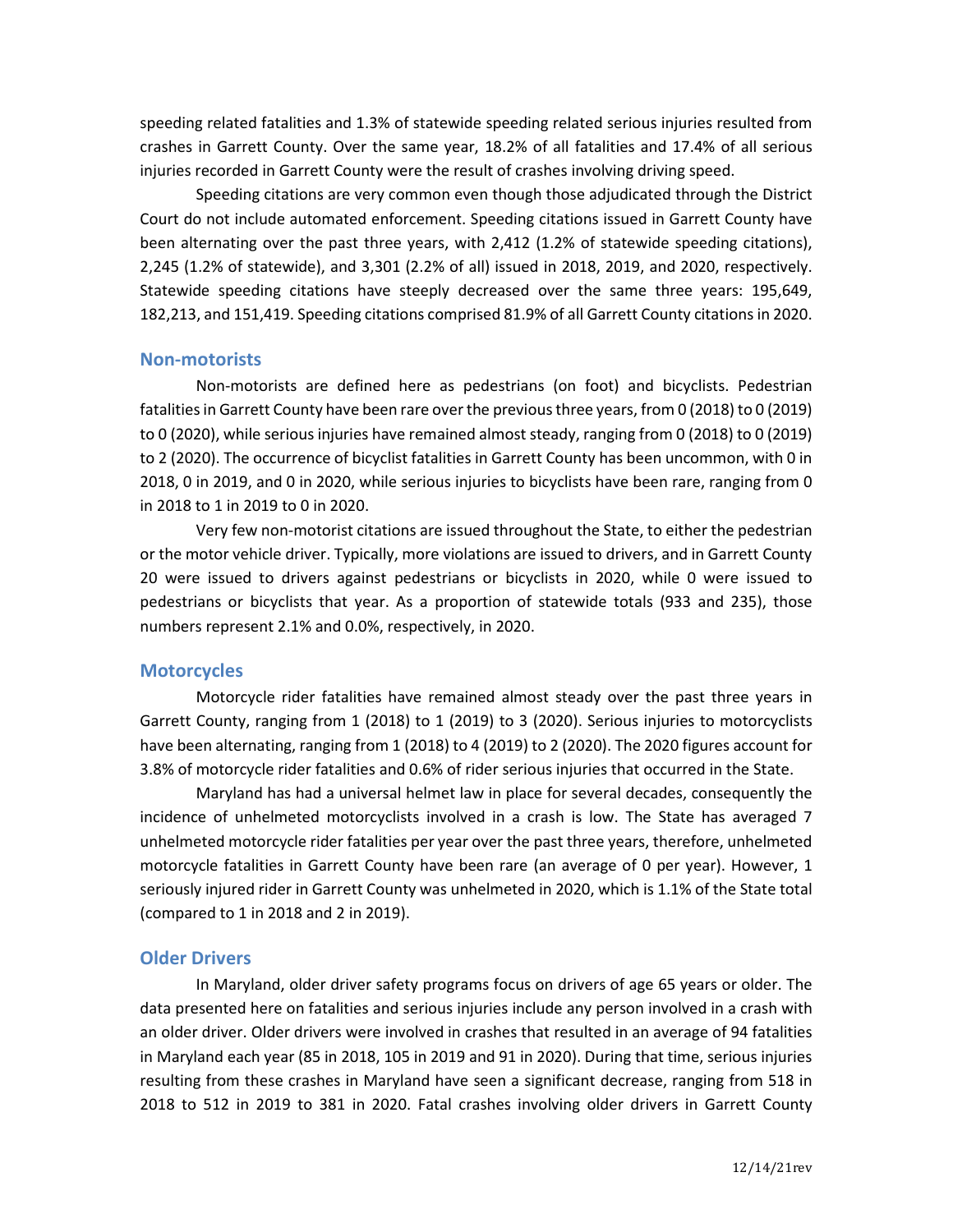speeding related fatalities and 1.3% of statewide speeding related serious injuries resulted from crashes in Garrett County. Over the same year, 18.2% of all fatalities and 17.4% of all serious injuries recorded in Garrett County were the result of crashes involving driving speed.

Speeding citations are very common even though those adjudicated through the District Court do not include automated enforcement. Speeding citations issued in Garrett County have been alternating over the past three years, with 2,412 (1.2% of statewide speeding citations), 2,245 (1.2% of statewide), and 3,301 (2.2% of all) issued in 2018, 2019, and 2020, respectively. Statewide speeding citations have steeply decreased over the same three years: 195,649, 182,213, and 151,419. Speeding citations comprised 81.9% of all Garrett County citations in 2020.

#### **Non-motorists**

Non-motorists are defined here as pedestrians (on foot) and bicyclists. Pedestrian fatalities in Garrett County have been rare over the previous three years, from 0 (2018) to 0 (2019) to 0 (2020), while serious injuries have remained almost steady, ranging from 0 (2018) to 0 (2019) to 2 (2020). The occurrence of bicyclist fatalities in Garrett County has been uncommon, with 0 in 2018, 0 in 2019, and 0 in 2020, while serious injuries to bicyclists have been rare, ranging from 0 in 2018 to 1 in 2019 to 0 in 2020.

Very few non-motorist citations are issued throughout the State, to either the pedestrian or the motor vehicle driver. Typically, more violations are issued to drivers, and in Garrett County 20 were issued to drivers against pedestrians or bicyclists in 2020, while 0 were issued to pedestrians or bicyclists that year. As a proportion of statewide totals (933 and 235), those numbers represent 2.1% and 0.0%, respectively, in 2020.

### **Motorcycles**

Motorcycle rider fatalities have remained almost steady over the past three years in Garrett County, ranging from 1 (2018) to 1 (2019) to 3 (2020). Serious injuries to motorcyclists have been alternating, ranging from 1 (2018) to 4 (2019) to 2 (2020). The 2020 figures account for 3.8% of motorcycle rider fatalities and 0.6% of rider serious injuries that occurred in the State.

Maryland has had a universal helmet law in place for several decades, consequently the incidence of unhelmeted motorcyclists involved in a crash is low. The State has averaged 7 unhelmeted motorcycle rider fatalities per year over the past three years, therefore, unhelmeted motorcycle fatalities in Garrett County have been rare (an average of 0 per year). However, 1 seriously injured rider in Garrett County was unhelmeted in 2020, which is 1.1% of the State total (compared to 1 in 2018 and 2 in 2019).

#### **Older Drivers**

In Maryland, older driver safety programs focus on drivers of age 65 years or older. The data presented here on fatalities and serious injuries include any person involved in a crash with an older driver. Older drivers were involved in crashes that resulted in an average of 94 fatalities in Maryland each year (85 in 2018, 105 in 2019 and 91 in 2020). During that time, serious injuries resulting from these crashes in Maryland have seen a significant decrease, ranging from 518 in 2018 to 512 in 2019 to 381 in 2020. Fatal crashes involving older drivers in Garrett County